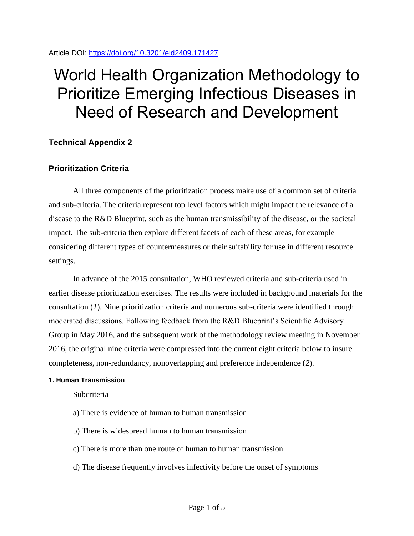Article DOI:<https://doi.org/10.3201/eid2409.171427>

# World Health Organization Methodology to Prioritize Emerging Infectious Diseases in Need of Research and Development

# **Technical Appendix 2**

## **Prioritization Criteria**

All three components of the prioritization process make use of a common set of criteria and sub-criteria. The criteria represent top level factors which might impact the relevance of a disease to the R&D Blueprint, such as the human transmissibility of the disease, or the societal impact. The sub-criteria then explore different facets of each of these areas, for example considering different types of countermeasures or their suitability for use in different resource settings.

In advance of the 2015 consultation, WHO reviewed criteria and sub-criteria used in earlier disease prioritization exercises. The results were included in background materials for the consultation (*1*). Nine prioritization criteria and numerous sub-criteria were identified through moderated discussions. Following feedback from the R&D Blueprint's Scientific Advisory Group in May 2016, and the subsequent work of the methodology review meeting in November 2016, the original nine criteria were compressed into the current eight criteria below to insure completeness, non-redundancy, nonoverlapping and preference independence (*2*).

### **1. Human Transmission**

**Subcriteria** 

- a) There is evidence of human to human transmission
- b) There is widespread human to human transmission
- c) There is more than one route of human to human transmission
- d) The disease frequently involves infectivity before the onset of symptoms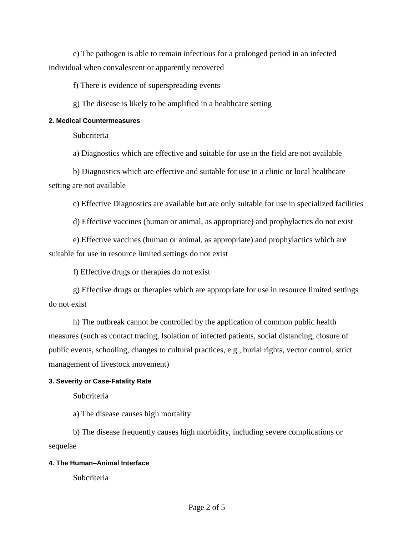e) The pathogen is able to remain infectious for a prolonged period in an infected individual when convalescent or apparently recovered

f) There is evidence of superspreading events

g) The disease is likely to be amplified in a healthcare setting

### **2. Medical Countermeasures**

**Subcriteria** 

a) Diagnostics which are effective and suitable for use in the field are not available

b) Diagnostics which are effective and suitable for use in a clinic or local healthcare setting are not available

c) Effective Diagnostics are available but are only suitable for use in specialized facilities

d) Effective vaccines (human or animal, as appropriate) and prophylactics do not exist

e) Effective vaccines (human or animal, as appropriate) and prophylactics which are suitable for use in resource limited settings do not exist

f) Effective drugs or therapies do not exist

g) Effective drugs or therapies which are appropriate for use in resource limited settings do not exist

h) The outbreak cannot be controlled by the application of common public health measures (such as contact tracing, Isolation of infected patients, social distancing, closure of public events, schooling, changes to cultural practices, e.g., burial rights, vector control, strict management of livestock movement)

## **3. Severity or Case-Fatality Rate**

**Subcriteria** 

a) The disease causes high mortality

b) The disease frequently causes high morbidity, including severe complications or sequelae

### **4. The Human–Animal Interface**

**Subcriteria**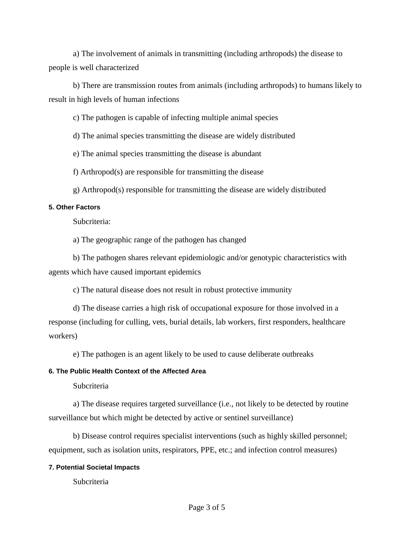a) The involvement of animals in transmitting (including arthropods) the disease to people is well characterized

b) There are transmission routes from animals (including arthropods) to humans likely to result in high levels of human infections

c) The pathogen is capable of infecting multiple animal species

d) The animal species transmitting the disease are widely distributed

e) The animal species transmitting the disease is abundant

f) Arthropod(s) are responsible for transmitting the disease

g) Arthropod(s) responsible for transmitting the disease are widely distributed

### **5. Other Factors**

Subcriteria:

a) The geographic range of the pathogen has changed

b) The pathogen shares relevant epidemiologic and/or genotypic characteristics with agents which have caused important epidemics

c) The natural disease does not result in robust protective immunity

d) The disease carries a high risk of occupational exposure for those involved in a response (including for culling, vets, burial details, lab workers, first responders, healthcare workers)

e) The pathogen is an agent likely to be used to cause deliberate outbreaks

### **6. The Public Health Context of the Affected Area**

Subcriteria

a) The disease requires targeted surveillance (i.e., not likely to be detected by routine surveillance but which might be detected by active or sentinel surveillance)

b) Disease control requires specialist interventions (such as highly skilled personnel; equipment, such as isolation units, respirators, PPE, etc.; and infection control measures)

#### **7. Potential Societal Impacts**

**Subcriteria**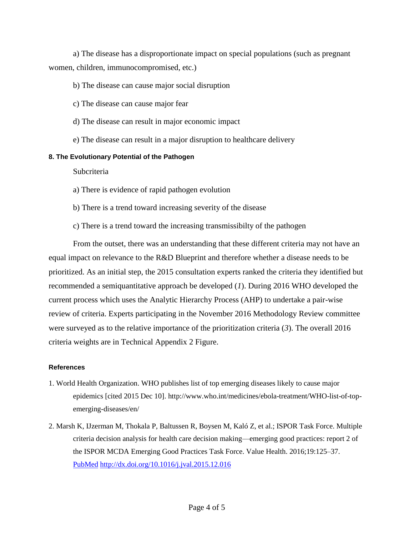a) The disease has a disproportionate impact on special populations (such as pregnant women, children, immunocompromised, etc.)

- b) The disease can cause major social disruption
- c) The disease can cause major fear
- d) The disease can result in major economic impact
- e) The disease can result in a major disruption to healthcare delivery

### **8. The Evolutionary Potential of the Pathogen**

Subcriteria

- a) There is evidence of rapid pathogen evolution
- b) There is a trend toward increasing severity of the disease
- c) There is a trend toward the increasing transmissibilty of the pathogen

From the outset, there was an understanding that these different criteria may not have an equal impact on relevance to the R&D Blueprint and therefore whether a disease needs to be prioritized. As an initial step, the 2015 consultation experts ranked the criteria they identified but recommended a semiquantitative approach be developed (*1*). During 2016 WHO developed the current process which uses the Analytic Hierarchy Process (AHP) to undertake a pair-wise review of criteria. Experts participating in the November 2016 Methodology Review committee were surveyed as to the relative importance of the prioritization criteria (*3*). The overall 2016 criteria weights are in Technical Appendix 2 Figure.

#### **References**

- 1. World Health Organization. WHO publishes list of top emerging diseases likely to cause major epidemics [cited 2015 Dec 10]. http://www.who.int/medicines/ebola-treatment/WHO-list-of-topemerging-diseases/en/
- 2. Marsh K, IJzerman M, Thokala P, Baltussen R, Boysen M, Kaló Z, et al.; ISPOR Task Force. Multiple criteria decision analysis for health care decision making—emerging good practices: report 2 of the ISPOR MCDA Emerging Good Practices Task Force. Value Health. 2016;19:125–37[.](https://www.ncbi.nlm.nih.gov/entrez/query.fcgi?cmd=Retrieve&db=PubMed&list_uids=27021745&dopt=Abstract) [PubMed](https://www.ncbi.nlm.nih.gov/entrez/query.fcgi?cmd=Retrieve&db=PubMed&list_uids=27021745&dopt=Abstract) <http://dx.doi.org/10.1016/j.jval.2015.12.016>